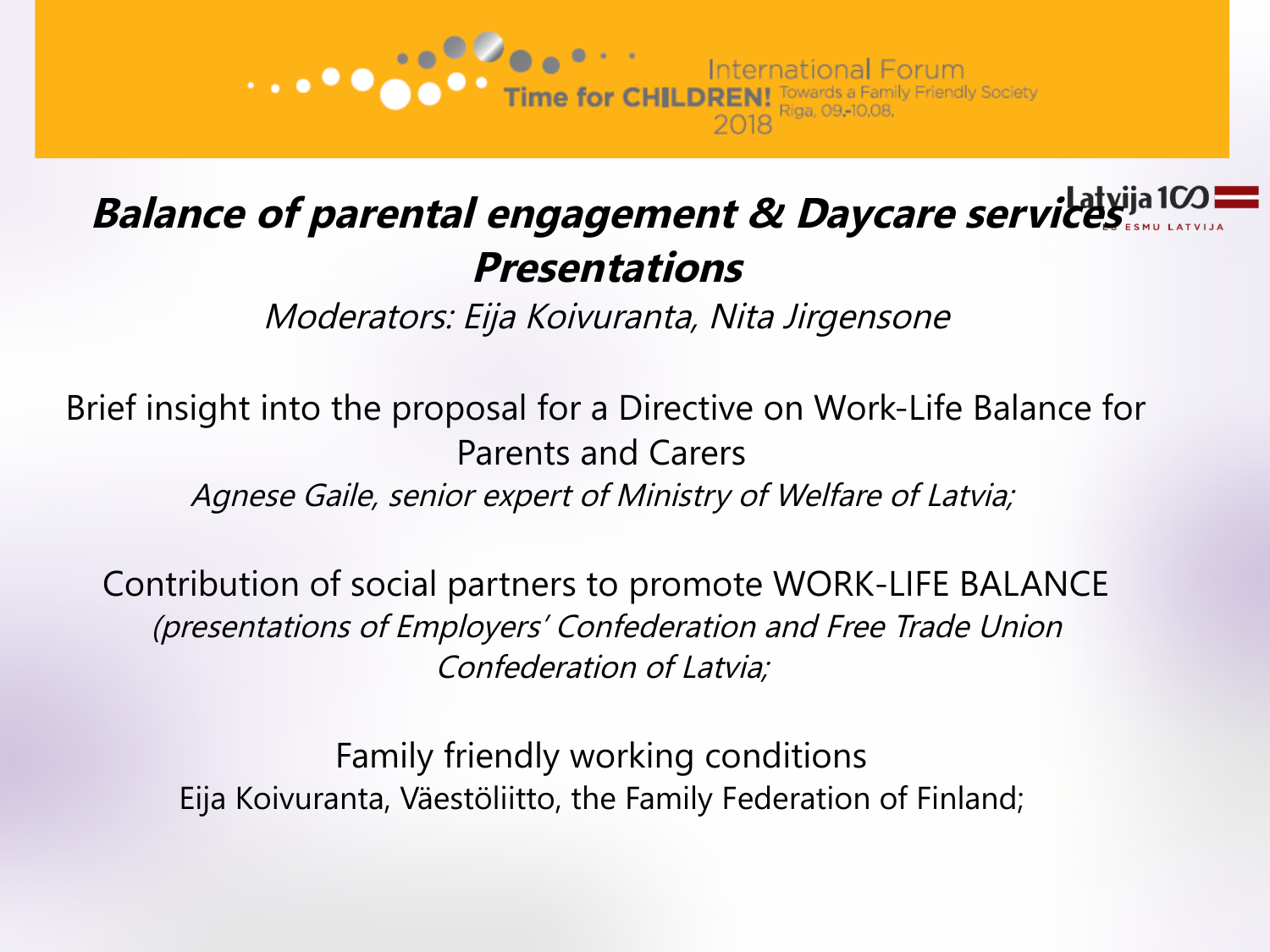

# **Balance of parental engagement & Daycare services Presentations**

Moderators: Eija Koivuranta, Nita Jirgensone

Brief insight into the proposal for a Directive on Work-Life Balance for Parents and Carers Agnese Gaile, senior expert of Ministry of Welfare of Latvia;

Contribution of social partners to promote WORK-LIFE BALANCE (presentations of Employers' Confederation and Free Trade Union Confederation of Latvia;

Family friendly working conditions Eija Koivuranta, Väestöliitto, the Family Federation of Finland;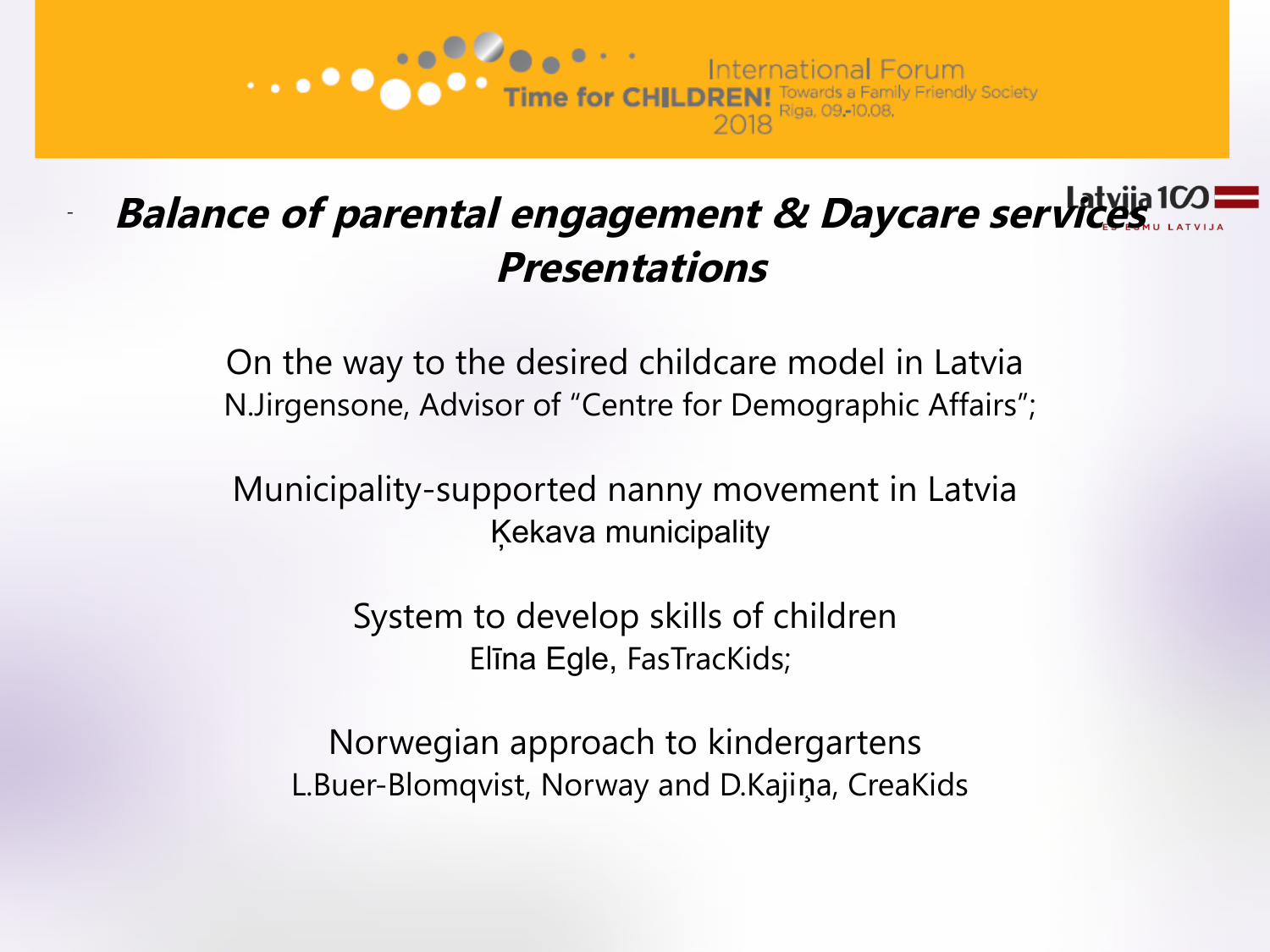

# - **Balance of parental engagement & Daycare services Presentations**

On the way to the desired childcare model in Latvia N.Jirgensone, Advisor of "Centre for Demographic Affairs";

Municipality-supported nanny movement in Latvia Ķekava municipality

> System to develop skills of children Elīna Egle, FasTracKids;

Norwegian approach to kindergartens L.Buer-Blomqvist, Norway and D.Kajina, CreaKids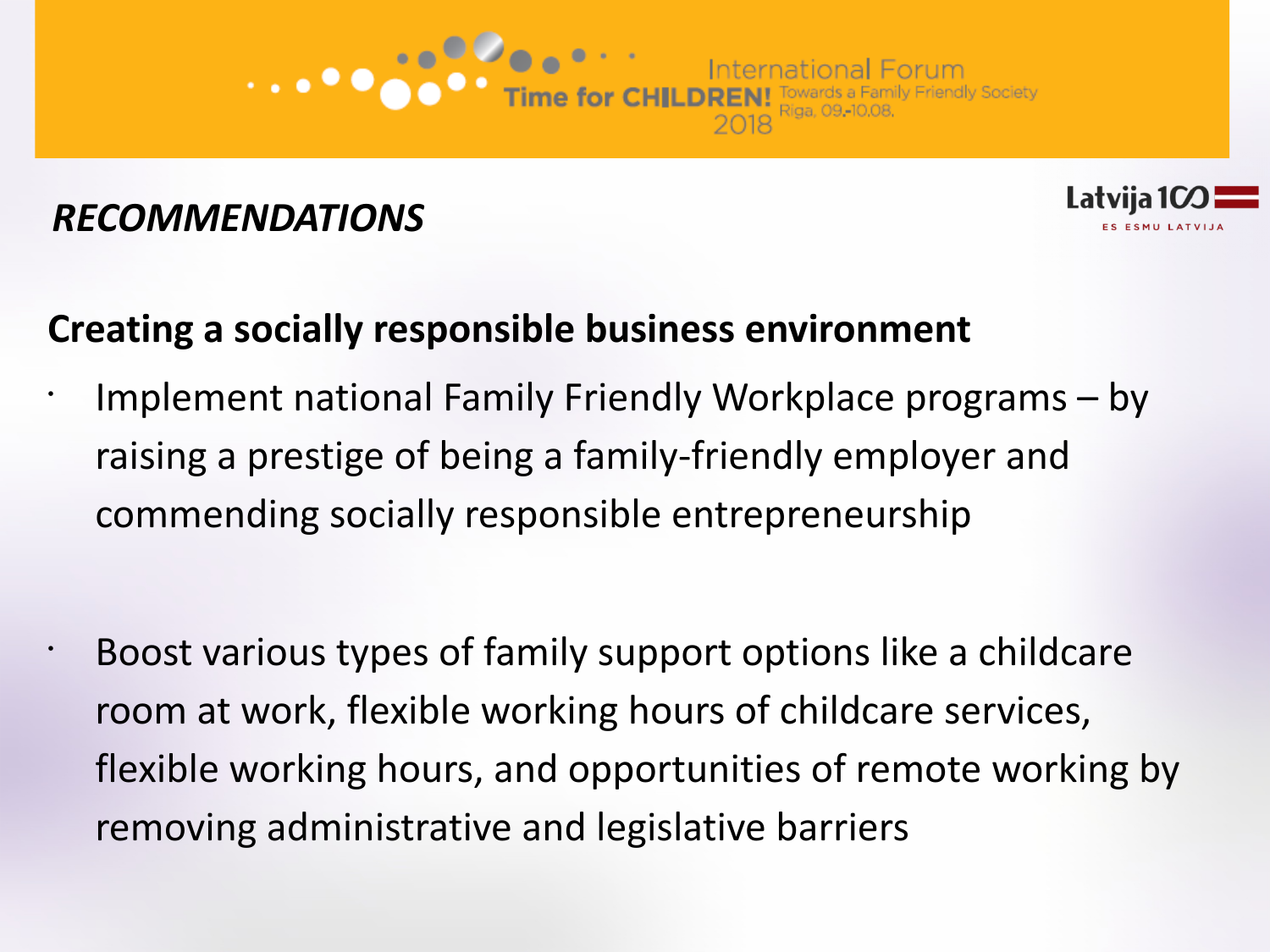

•



# **Creating a socially responsible business environment**

- Implement national Family Friendly Workplace programs by raising a prestige of being a family-friendly employer and commending socially responsible entrepreneurship
- Boost various types of family support options like a childcare room at work, flexible working hours of childcare services, flexible working hours, and opportunities of remote working by removing administrative and legislative barriers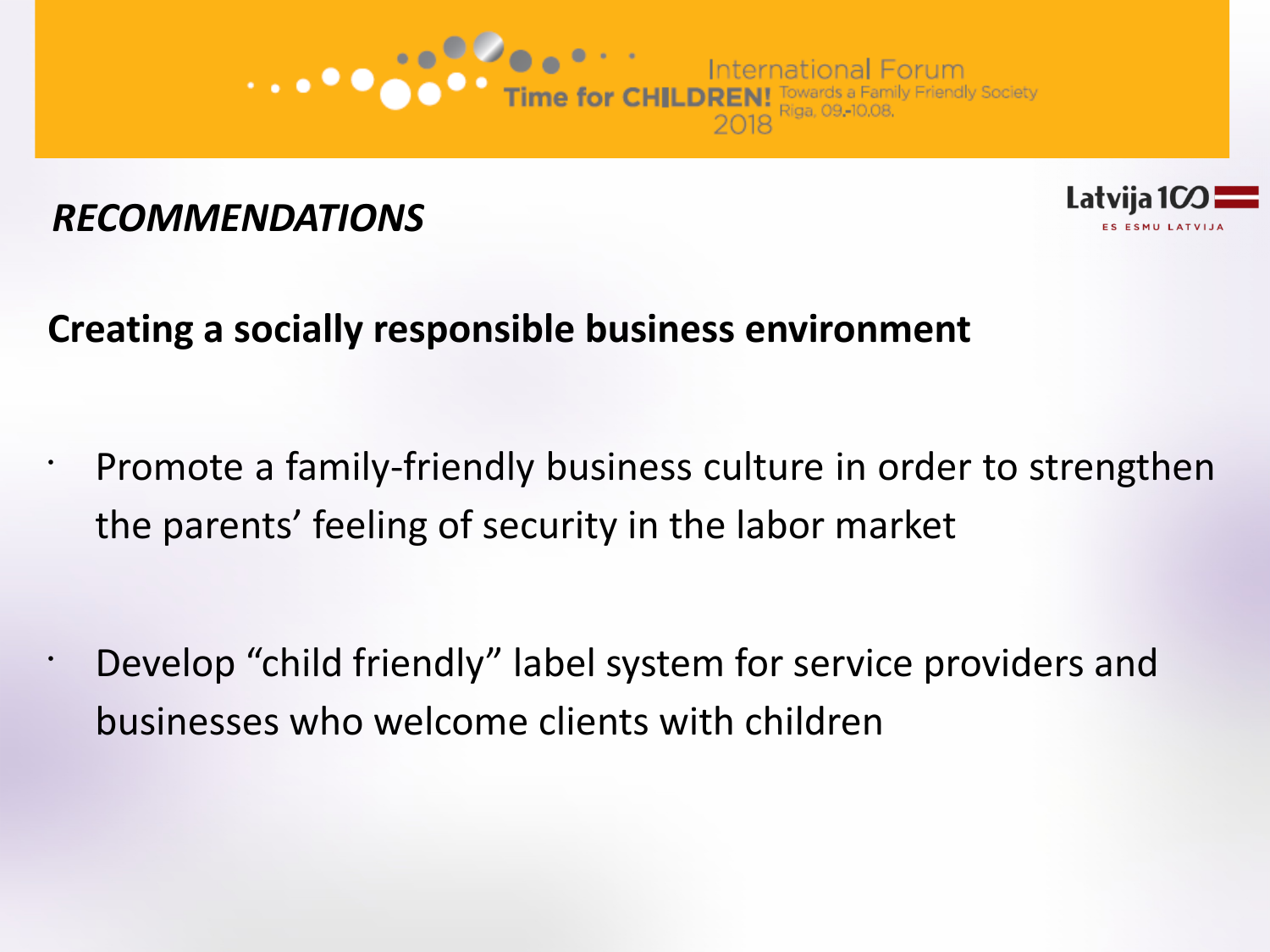



# **Creating a socially responsible business environment**

- Promote a family-friendly business culture in order to strengthen the parents' feeling of security in the labor market
- Develop "child friendly" label system for service providers and businesses who welcome clients with children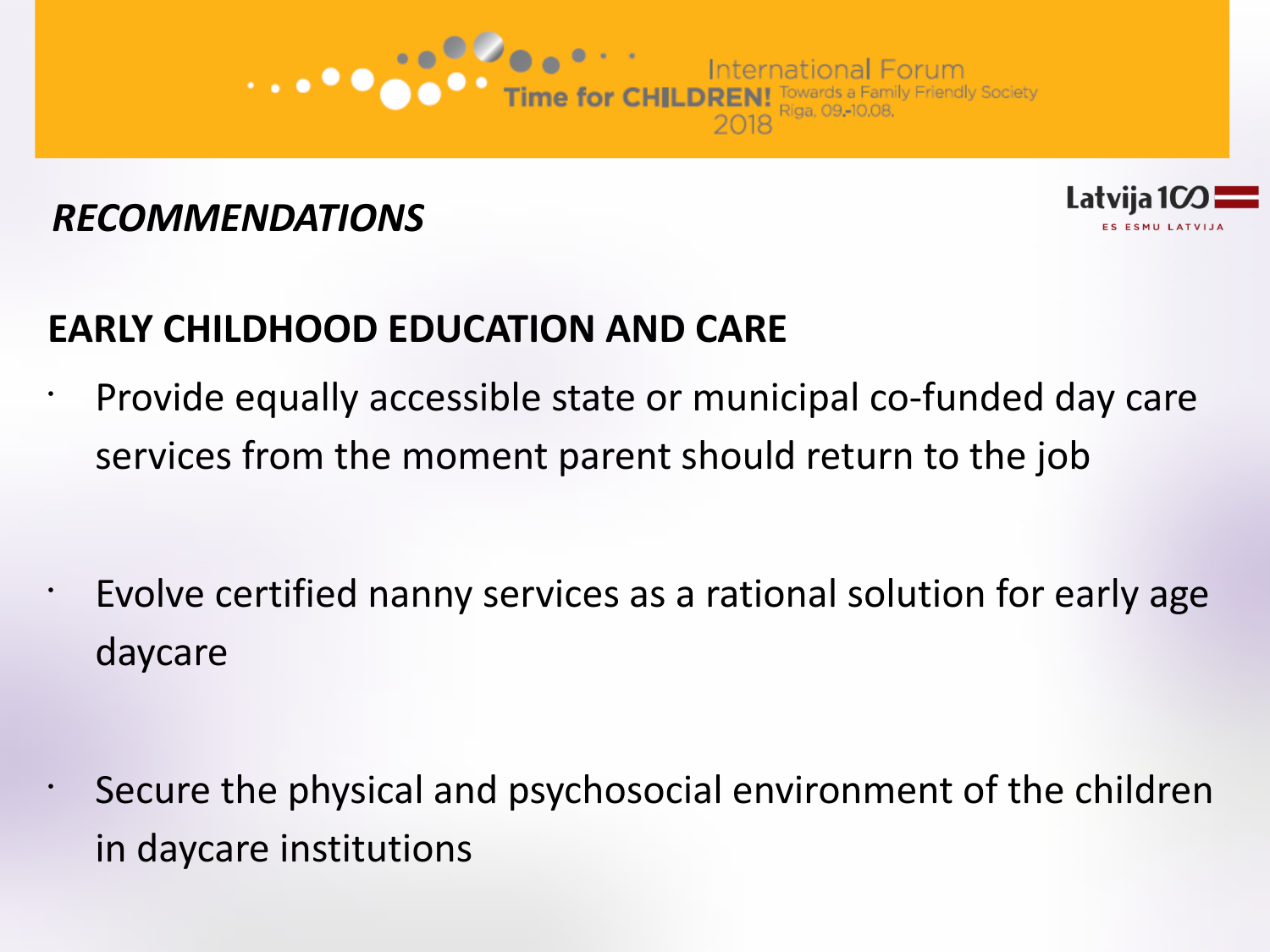



# **EARLY CHILDHOOD EDUCATION AND CARE**

- Provide equally accessible state or municipal co-funded day care services from the moment parent should return to the job
- Evolve certified nanny services as a rational solution for early age daycare
- Secure the physical and psychosocial environment of the children in daycare institutions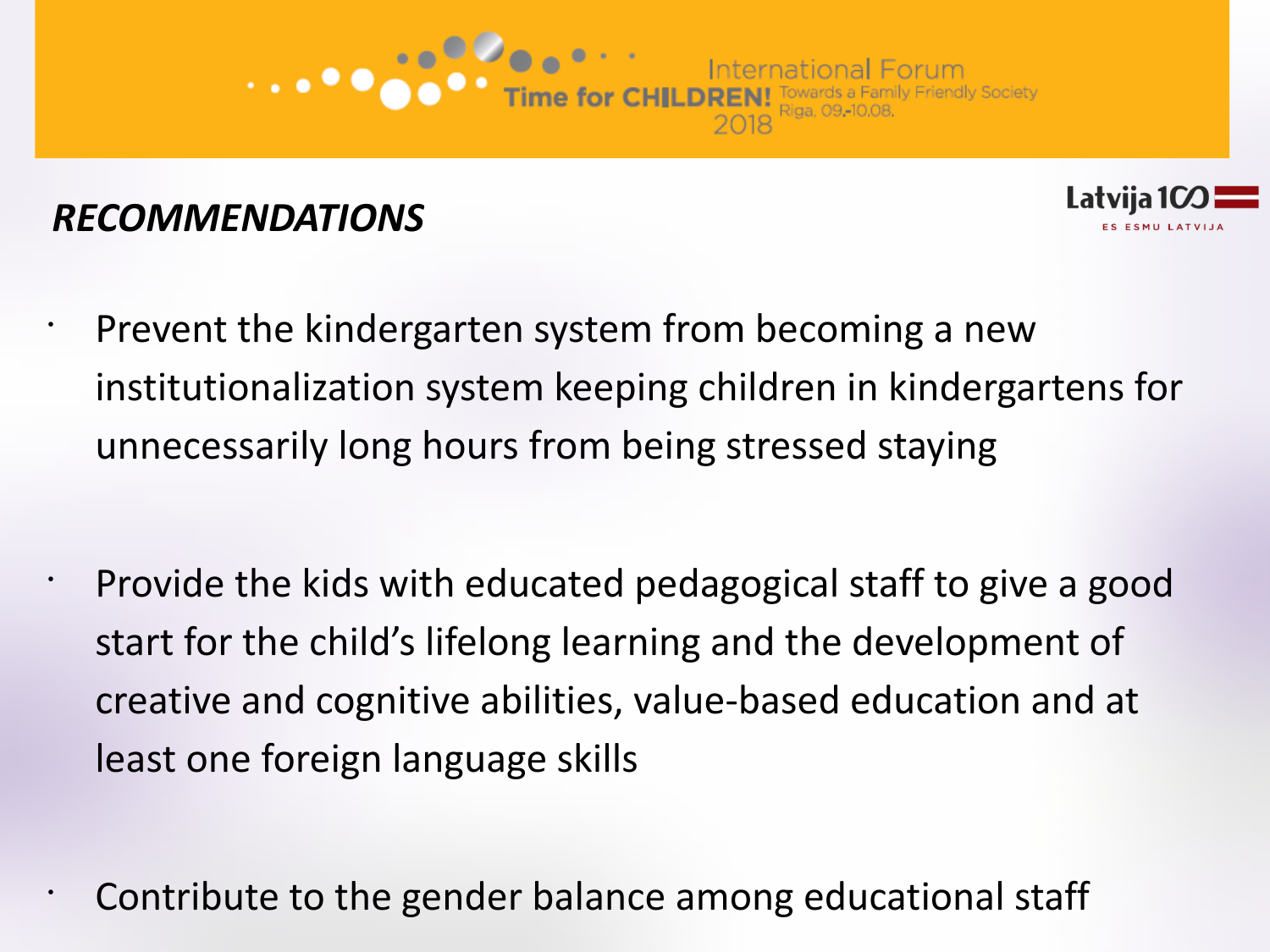



- Prevent the kindergarten system from becoming a new institutionalization system keeping children in kindergartens for unnecessarily long hours from being stressed staying
- $\cdot$  Provide the kids with educated pedagogical staff to give a good start for the child's lifelong learning and the development of creative and cognitive abilities, value-based education and at least one foreign language skills
	- Contribute to the gender balance among educational staff